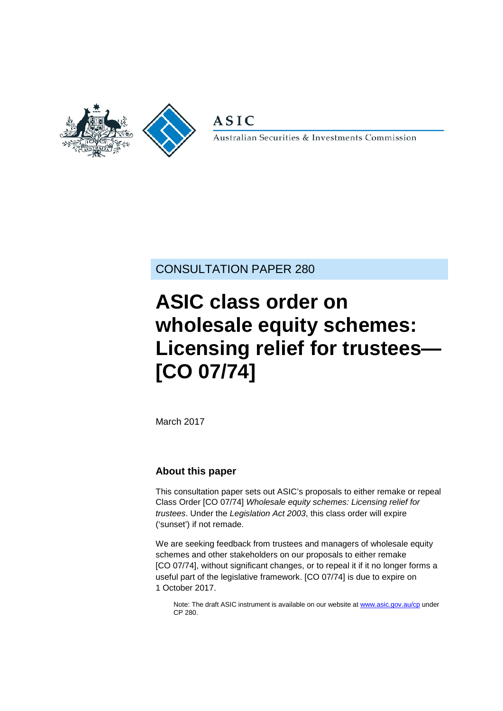

**ASIC** 

Australian Securities & Investments Commission

### CONSULTATION PAPER 280

# **ASIC class order on wholesale equity schemes: Licensing relief for trustees— [CO 07/74]**

March 2017

#### **About this paper**

This consultation paper sets out ASIC's proposals to either remake or repeal Class Order [CO 07/74] *Wholesale equity schemes: Licensing relief for trustees*. Under the *Legislation Act 2003*, this class order will expire ('sunset') if not remade.

We are seeking feedback from trustees and managers of wholesale equity schemes and other stakeholders on our proposals to either remake [CO 07/74], without significant changes, or to repeal it if it no longer forms a useful part of the legislative framework. [CO 07/74] is due to expire on 1 October 2017.

Note: The draft ASIC instrument is available on our website a[t www.asic.gov.au/cp](http://www.asic.gov.au/regulatory-resources/find-a-document/consultation-papers/) under CP 280.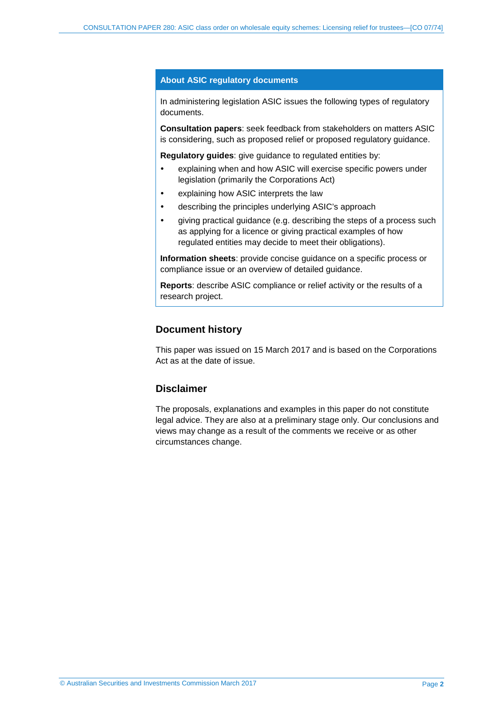#### **About ASIC regulatory documents**

In administering legislation ASIC issues the following types of regulatory documents.

**Consultation papers**: seek feedback from stakeholders on matters ASIC is considering, such as proposed relief or proposed regulatory guidance.

**Regulatory guides**: give guidance to regulated entities by:

- explaining when and how ASIC will exercise specific powers under legislation (primarily the Corporations Act)
- explaining how ASIC interprets the law
- describing the principles underlying ASIC's approach
- giving practical guidance (e.g. describing the steps of a process such as applying for a licence or giving practical examples of how regulated entities may decide to meet their obligations).

**Information sheets**: provide concise guidance on a specific process or compliance issue or an overview of detailed guidance.

**Reports**: describe ASIC compliance or relief activity or the results of a research project.

#### **Document history**

This paper was issued on 15 March 2017 and is based on the Corporations Act as at the date of issue.

#### **Disclaimer**

The proposals, explanations and examples in this paper do not constitute legal advice. They are also at a preliminary stage only. Our conclusions and views may change as a result of the comments we receive or as other circumstances change.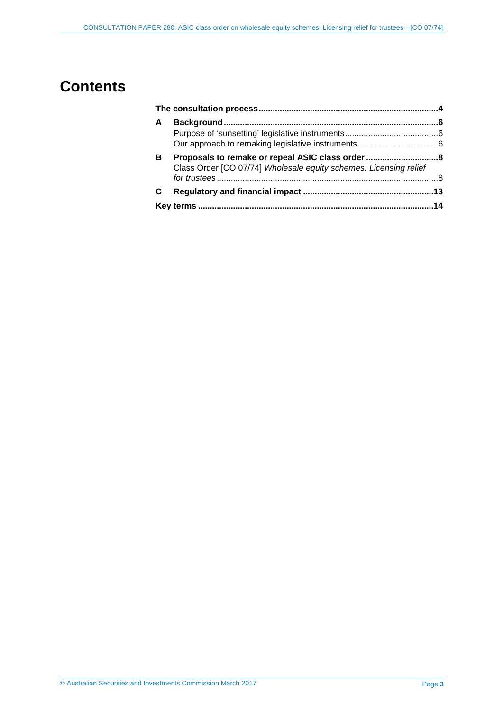## **Contents**

| A |                                                                   |  |  |
|---|-------------------------------------------------------------------|--|--|
|   |                                                                   |  |  |
|   |                                                                   |  |  |
| в | Class Order [CO 07/74] Wholesale equity schemes: Licensing relief |  |  |
|   |                                                                   |  |  |
|   |                                                                   |  |  |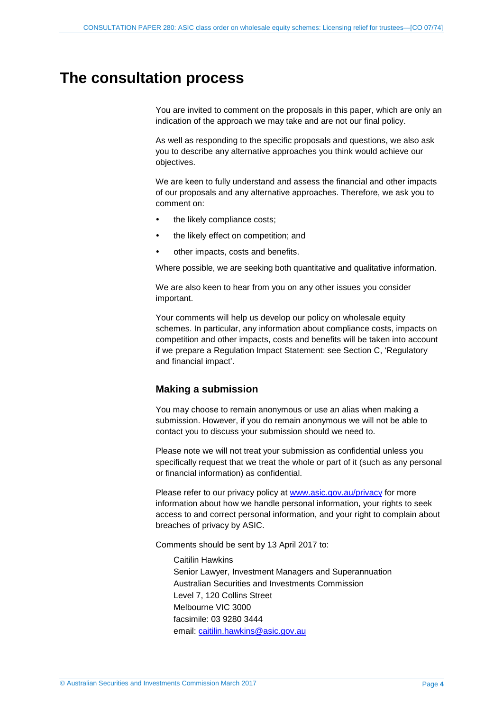### <span id="page-3-0"></span>**The consultation process**

You are invited to comment on the proposals in this paper, which are only an indication of the approach we may take and are not our final policy.

As well as responding to the specific proposals and questions, we also ask you to describe any alternative approaches you think would achieve our objectives.

We are keen to fully understand and assess the financial and other impacts of our proposals and any alternative approaches. Therefore, we ask you to comment on:

- the likely compliance costs;
- the likely effect on competition; and
- other impacts, costs and benefits.

Where possible, we are seeking both quantitative and qualitative information.

We are also keen to hear from you on any other issues you consider important.

Your comments will help us develop our policy on wholesale equity schemes. In particular, any information about compliance costs, impacts on competition and other impacts, costs and benefits will be taken into account if we prepare a Regulation Impact Statement: see Section [C,](#page-12-0) 'Regulatory and financial impact'.

#### <span id="page-3-1"></span>**Making a submission**

You may choose to remain anonymous or use an alias when making a submission. However, if you do remain anonymous we will not be able to contact you to discuss your submission should we need to.

Please note we will not treat your submission as confidential unless you specifically request that we treat the whole or part of it (such as any personal or financial information) as confidential.

Please refer to our privacy policy at [www.asic.gov.au/privacy](http://www.asic.gov.au/privacy) for more information about how we handle personal information, your rights to seek access to and correct personal information, and your right to complain about breaches of privacy by ASIC.

Comments should be sent by 13 April 2017 to:

Caitilin Hawkins Senior Lawyer, Investment Managers and Superannuation Australian Securities and Investments Commission Level 7, 120 Collins Street Melbourne VIC 3000 facsimile: 03 9280 3444 email: [caitilin.hawkins@asic.gov.au](mailto:caitilin.hawkins@asic.gov.au)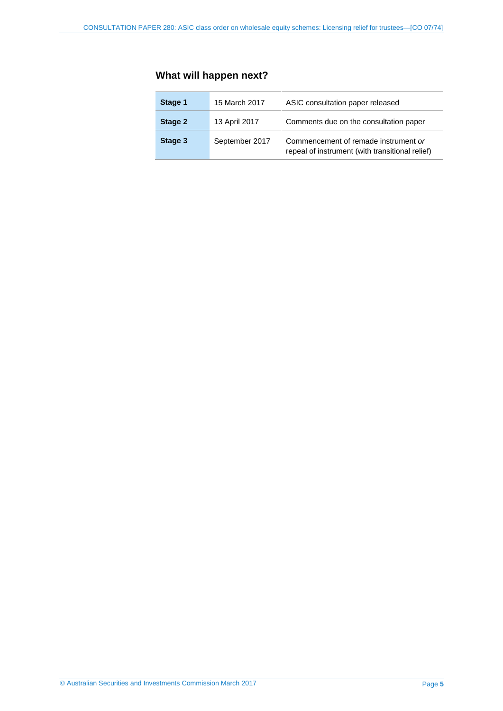### **What will happen next?**

| Stage 1 | 15 March 2017  | ASIC consultation paper released                                                        |
|---------|----------------|-----------------------------------------------------------------------------------------|
| Stage 2 | 13 April 2017  | Comments due on the consultation paper                                                  |
| Stage 3 | September 2017 | Commencement of remade instrument or<br>repeal of instrument (with transitional relief) |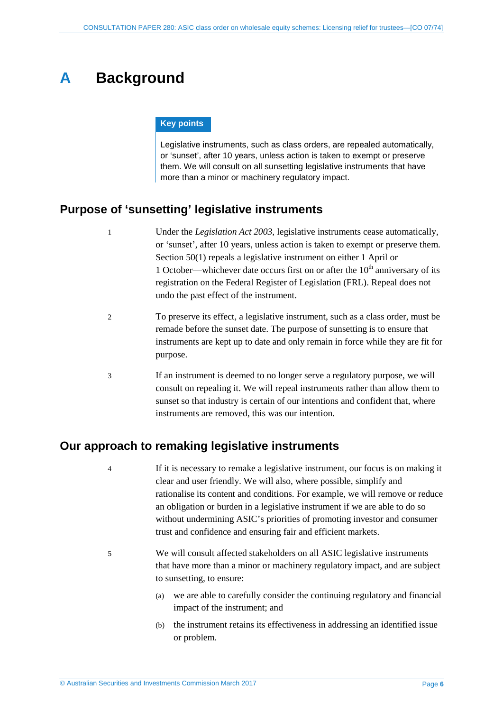# <span id="page-5-0"></span>**A Background**

#### **Key points**

Legislative instruments, such as class orders, are repealed automatically, or 'sunset', after 10 years, unless action is taken to exempt or preserve them. We will consult on all sunsetting legislative instruments that have more than a minor or machinery regulatory impact.

### <span id="page-5-1"></span>**Purpose of 'sunsetting' legislative instruments**

- 1 Under the *Legislation Act 2003*, legislative instruments cease automatically, or 'sunset', after 10 years, unless action is taken to exempt or preserve them. Section 50(1) repeals a legislative instrument on either 1 April or 1 October—whichever date occurs first on or after the  $10<sup>th</sup>$  anniversary of its registration on the Federal Register of Legislation (FRL). Repeal does not undo the past effect of the instrument.
	- 2 To preserve its effect, a legislative instrument, such as a class order, must be remade before the sunset date. The purpose of sunsetting is to ensure that instruments are kept up to date and only remain in force while they are fit for purpose.
	- 3 If an instrument is deemed to no longer serve a regulatory purpose, we will consult on repealing it. We will repeal instruments rather than allow them to sunset so that industry is certain of our intentions and confident that, where instruments are removed, this was our intention.

#### <span id="page-5-2"></span>**Our approach to remaking legislative instruments**

- 4 If it is necessary to remake a legislative instrument, our focus is on making it clear and user friendly. We will also, where possible, simplify and rationalise its content and conditions. For example, we will remove or reduce an obligation or burden in a legislative instrument if we are able to do so without undermining ASIC's priorities of promoting investor and consumer trust and confidence and ensuring fair and efficient markets.
- 5 We will consult affected stakeholders on all ASIC legislative instruments that have more than a minor or machinery regulatory impact, and are subject to sunsetting, to ensure:
	- (a) we are able to carefully consider the continuing regulatory and financial impact of the instrument; and
	- (b) the instrument retains its effectiveness in addressing an identified issue or problem.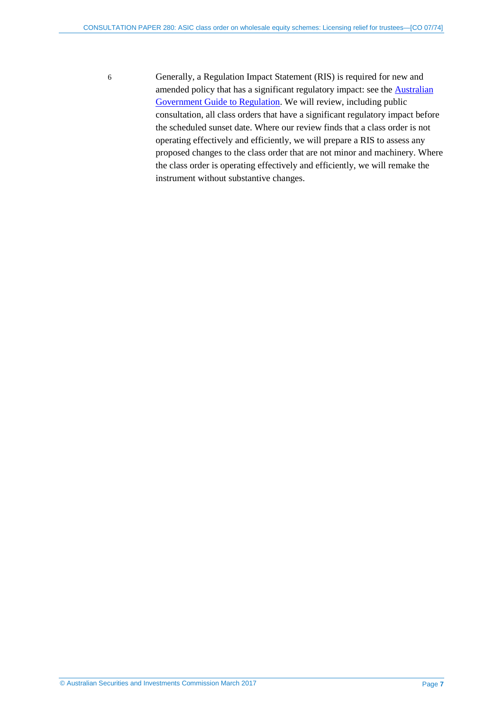6 Generally, a Regulation Impact Statement (RIS) is required for new and amended policy that has a significant regulatory impact: see the [Australian](https://www.cuttingredtape.gov.au/handbook/australian-government-guide-regulation)  [Government Guide to Regulation.](https://www.cuttingredtape.gov.au/handbook/australian-government-guide-regulation) We will review, including public consultation, all class orders that have a significant regulatory impact before the scheduled sunset date. Where our review finds that a class order is not operating effectively and efficiently, we will prepare a RIS to assess any proposed changes to the class order that are not minor and machinery. Where the class order is operating effectively and efficiently, we will remake the instrument without substantive changes.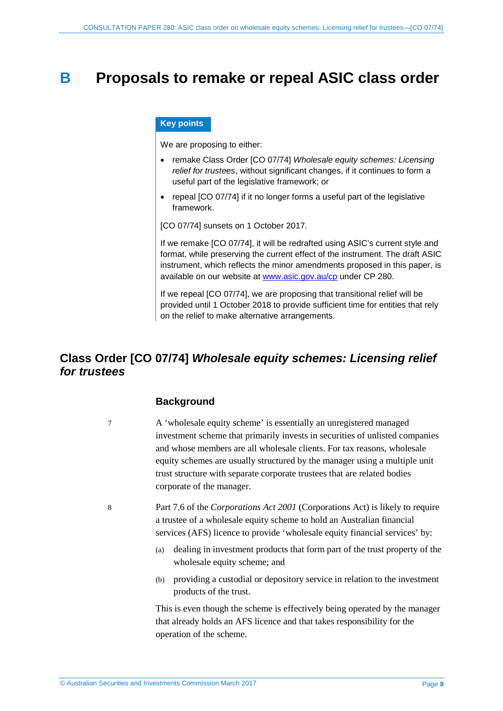### <span id="page-7-0"></span>**B Proposals to remake or repeal ASIC class order**

#### **Key points**

We are proposing to either:

- remake Class Order [CO 07/74] *Wholesale equity schemes: Licensing relief for trustees*, without significant changes, if it continues to form a useful part of the legislative framework; or
- repeal [CO 07/74] if it no longer forms a useful part of the legislative framework.

[CO 07/74] sunsets on 1 October 2017.

If we remake [CO 07/74], it will be redrafted using ASIC's current style and format, while preserving the current effect of the instrument. The draft ASIC instrument, which reflects the minor amendments proposed in this paper, is available on our website at [www.asic.gov.au/cp](http://www.asic.gov.au/regulatory-resources/find-a-document/consultation-papers/) under CP 280.

If we repeal [CO 07/74], we are proposing that transitional relief will be provided until 1 October 2018 to provide sufficient time for entities that rely on the relief to make alternative arrangements.

### <span id="page-7-1"></span>**Class Order [CO 07/74]** *Wholesale equity schemes: Licensing relief for trustees*

#### **Background**

7 A 'wholesale equity scheme' is essentially an unregistered managed investment scheme that primarily invests in securities of unlisted companies and whose members are all wholesale clients. For tax reasons, wholesale equity schemes are usually structured by the manager using a multiple unit trust structure with separate corporate trustees that are related bodies corporate of the manager.

8 Part 7.6 of the *Corporations Act 2001* (Corporations Act) is likely to require a trustee of a wholesale equity scheme to hold an Australian financial services (AFS) licence to provide 'wholesale equity financial services' by:

- (a) dealing in investment products that form part of the trust property of the wholesale equity scheme; and
- (b) providing a custodial or depository service in relation to the investment products of the trust.

This is even though the scheme is effectively being operated by the manager that already holds an AFS licence and that takes responsibility for the operation of the scheme.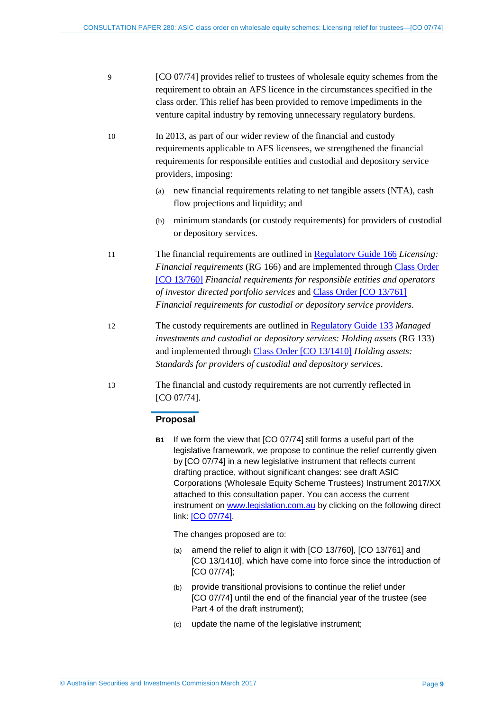- 9 [CO 07/74] provides relief to trustees of wholesale equity schemes from the requirement to obtain an AFS licence in the circumstances specified in the class order. This relief has been provided to remove impediments in the venture capital industry by removing unnecessary regulatory burdens.
- 10 In 2013, as part of our wider review of the financial and custody requirements applicable to AFS licensees, we strengthened the financial requirements for responsible entities and custodial and depository service providers, imposing:
	- (a) new financial requirements relating to net tangible assets (NTA), cash flow projections and liquidity; and
	- (b) minimum standards (or custody requirements) for providers of custodial or depository services.

11 The financial requirements are outlined in [Regulatory Guide 166](http://asic.gov.au/regulatory-resources/find-a-document/regulatory-guides/rg-166-licensing-financial-requirements/) *Licensing: Financial requirements* (RG 166) and are implemented through [Class Order](https://www.legislation.gov.au/Details/F2014C01029)  [\[CO 13/760\]](https://www.legislation.gov.au/Details/F2014C01029) *Financial requirements for responsible entities and operators of investor directed portfolio services* an[d Class Order \[CO 13/761\]](https://www.legislation.gov.au/Details/F2014C01030) *Financial requirements for custodial or depository service providers*.

- 12 The custody requirements are outlined in [Regulatory Guide 133](http://asic.gov.au/regulatory-resources/find-a-document/regulatory-guides/rg-133-managed-investments-and-custodial-or-depository-services-holding-assets/) *Managed investments and custodial or depository services: Holding assets* (RG 133) and implemented through [Class Order \[CO 13/1410\]](https://www.legislation.gov.au/Details/F2015C00036) *Holding assets: Standards for providers of custodial and depository services*.
- 13 The financial and custody requirements are not currently reflected in [CO 07/74].

#### **Proposal**

**B1** If we form the view that [CO 07/74] still forms a useful part of the legislative framework, we propose to continue the relief currently given by [CO 07/74] in a new legislative instrument that reflects current drafting practice, without significant changes: see draft ASIC Corporations (Wholesale Equity Scheme Trustees) Instrument 2017/XX attached to this consultation paper. You can access the current instrument on [www.legislation.com.au](http://www.legislation.com.au/) by clicking on the following direct link: [CO [07/74\].](https://www.legislation.gov.au/Details/F2011C00650)

The changes proposed are to:

- (a) amend the relief to align it with [CO 13/760], [CO 13/761] and [CO 13/1410], which have come into force since the introduction of [CO 07/74];
- (b) provide transitional provisions to continue the relief under [CO 07/74] until the end of the financial year of the trustee (see Part 4 of the draft instrument);
- (c) update the name of the legislative instrument;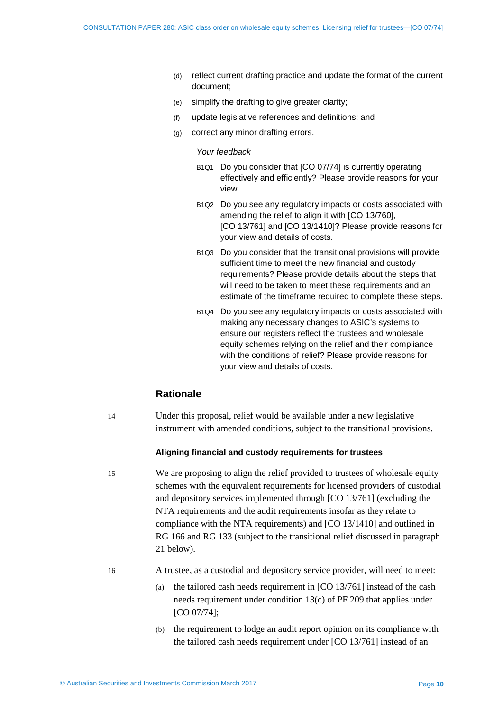- (d) reflect current drafting practice and update the format of the current document;
- (e) simplify the drafting to give greater clarity;
- (f) update legislative references and definitions; and
- (g) correct any minor drafting errors.

#### *Your feedback*

- B1Q1 Do you consider that [CO 07/74] is currently operating effectively and efficiently? Please provide reasons for your view.
- B1Q2 Do you see any regulatory impacts or costs associated with amending the relief to align it with [CO 13/760], [CO 13/761] and [CO 13/1410]? Please provide reasons for your view and details of costs.
- B1Q3 Do you consider that the transitional provisions will provide sufficient time to meet the new financial and custody requirements? Please provide details about the steps that will need to be taken to meet these requirements and an estimate of the timeframe required to complete these steps.
- B1Q4 Do you see any regulatory impacts or costs associated with making any necessary changes to ASIC's systems to ensure our registers reflect the trustees and wholesale equity schemes relying on the relief and their compliance with the conditions of relief? Please provide reasons for your view and details of costs.

#### **Rationale**

14 Under this proposal, relief would be available under a new legislative instrument with amended conditions, subject to the transitional provisions.

#### **Aligning financial and custody requirements for trustees**

15 We are proposing to align the relief provided to trustees of wholesale equity schemes with the equivalent requirements for licensed providers of custodial and depository services implemented through [CO 13/761] (excluding the NTA requirements and the audit requirements insofar as they relate to compliance with the NTA requirements) and [CO 13/1410] and outlined in RG 166 and RG 133 (subject to the transitional relief discussed in paragraph [21](#page-10-0) below).

16 A trustee, as a custodial and depository service provider, will need to meet:

- (a) the tailored cash needs requirement in [CO 13/761] instead of the cash needs requirement under condition 13(c) of PF 209 that applies under [CO 07/74];
- (b) the requirement to lodge an audit report opinion on its compliance with the tailored cash needs requirement under [CO 13/761] instead of an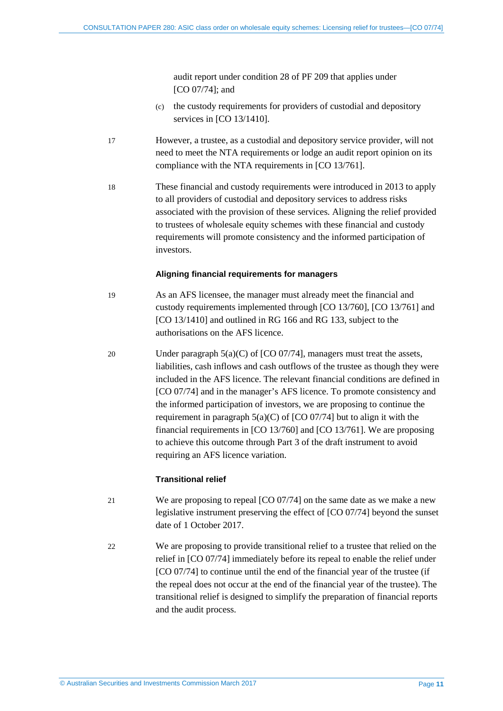audit report under condition 28 of PF 209 that applies under [CO 07/74]; and

- (c) the custody requirements for providers of custodial and depository services in [CO 13/1410].
- 17 However, a trustee, as a custodial and depository service provider, will not need to meet the NTA requirements or lodge an audit report opinion on its compliance with the NTA requirements in [CO 13/761].
- 18 These financial and custody requirements were introduced in 2013 to apply to all providers of custodial and depository services to address risks associated with the provision of these services. Aligning the relief provided to trustees of wholesale equity schemes with these financial and custody requirements will promote consistency and the informed participation of investors.

#### **Aligning financial requirements for managers**

- 19 As an AFS licensee, the manager must already meet the financial and custody requirements implemented through [CO 13/760], [CO 13/761] and [CO 13/1410] and outlined in RG 166 and RG 133, subject to the authorisations on the AFS licence.
- 20 Under paragraph 5(a)(C) of [CO 07/74], managers must treat the assets, liabilities, cash inflows and cash outflows of the trustee as though they were included in the AFS licence. The relevant financial conditions are defined in [CO 07/74] and in the manager's AFS licence. To promote consistency and the informed participation of investors, we are proposing to continue the requirement in paragraph  $5(a)(C)$  of  $[CO 07/74]$  but to align it with the financial requirements in [CO 13/760] and [CO 13/761]. We are proposing to achieve this outcome through Part 3 of the draft instrument to avoid requiring an AFS licence variation.

#### **Transitional relief**

- <span id="page-10-0"></span>21 We are proposing to repeal [CO 07/74] on the same date as we make a new legislative instrument preserving the effect of [CO 07/74] beyond the sunset date of 1 October 2017.
- 22 We are proposing to provide transitional relief to a trustee that relied on the relief in [CO 07/74] immediately before its repeal to enable the relief under [CO 07/74] to continue until the end of the financial year of the trustee (if the repeal does not occur at the end of the financial year of the trustee). The transitional relief is designed to simplify the preparation of financial reports and the audit process.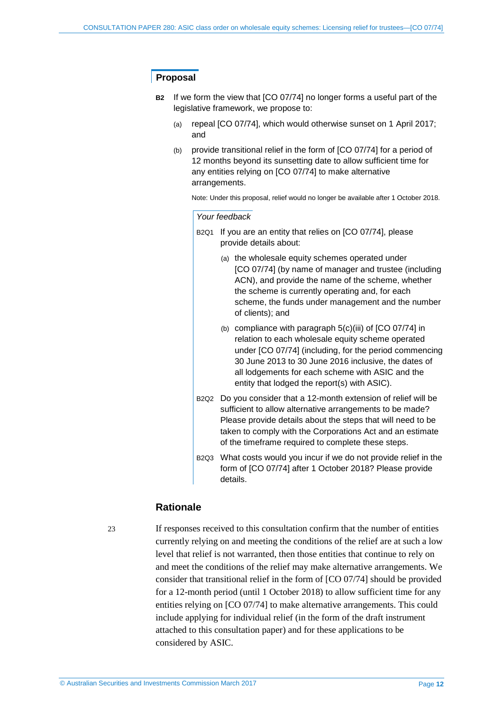#### **Proposal**

- **B2** If we form the view that [CO 07/74] no longer forms a useful part of the legislative framework, we propose to:
	- (a) repeal [CO 07/74], which would otherwise sunset on 1 April 2017; and
	- (b) provide transitional relief in the form of [CO 07/74] for a period of 12 months beyond its sunsetting date to allow sufficient time for any entities relying on [CO 07/74] to make alternative arrangements.

Note: Under this proposal, relief would no longer be available after 1 October 2018.

*Your feedback*

- B2Q1 If you are an entity that relies on [CO 07/74], please provide details about:
	- (a) the wholesale equity schemes operated under [CO 07/74] (by name of manager and trustee (including ACN), and provide the name of the scheme, whether the scheme is currently operating and, for each scheme, the funds under management and the number of clients); and
	- (b) compliance with paragraph 5(c)(iii) of [CO 07/74] in relation to each wholesale equity scheme operated under [CO 07/74] (including, for the period commencing 30 June 2013 to 30 June 2016 inclusive, the dates of all lodgements for each scheme with ASIC and the entity that lodged the report(s) with ASIC).
- B2Q2 Do you consider that a 12-month extension of relief will be sufficient to allow alternative arrangements to be made? Please provide details about the steps that will need to be taken to comply with the Corporations Act and an estimate of the timeframe required to complete these steps.
- B2Q3 What costs would you incur if we do not provide relief in the form of [CO 07/74] after 1 October 2018? Please provide details.

#### **Rationale**

23 If responses received to this consultation confirm that the number of entities currently relying on and meeting the conditions of the relief are at such a low level that relief is not warranted, then those entities that continue to rely on and meet the conditions of the relief may make alternative arrangements. We consider that transitional relief in the form of [CO 07/74] should be provided for a 12-month period (until 1 October 2018) to allow sufficient time for any entities relying on [CO 07/74] to make alternative arrangements. This could include applying for individual relief (in the form of the draft instrument attached to this consultation paper) and for these applications to be considered by ASIC.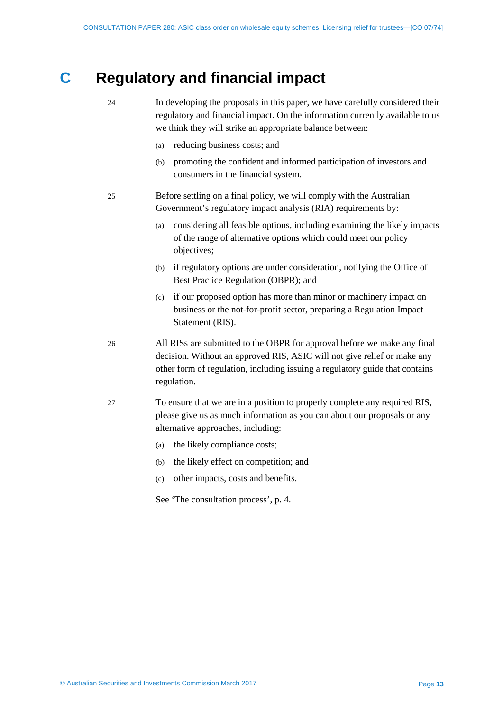# <span id="page-12-0"></span>**C Regulatory and financial impact**

- 24 In developing the proposals in this paper, we have carefully considered their regulatory and financial impact. On the information currently available to us we think they will strike an appropriate balance between: (a) reducing business costs; and (b) promoting the confident and informed participation of investors and consumers in the financial system. 25 Before settling on a final policy, we will comply with the Australian Government's regulatory impact analysis (RIA) requirements by: (a) considering all feasible options, including examining the likely impacts of the range of alternative options which could meet our policy objectives; (b) if regulatory options are under consideration, notifying the Office of Best Practice Regulation (OBPR); and (c) if our proposed option has more than minor or machinery impact on business or the not-for-profit sector, preparing a Regulation Impact Statement (RIS). 26 All RISs are submitted to the OBPR for approval before we make any final decision. Without an approved RIS, ASIC will not give relief or make any other form of regulation, including issuing a regulatory guide that contains regulation.
- 27 To ensure that we are in a position to properly complete any required RIS, please give us as much information as you can about our proposals or any alternative approaches, including:
	- (a) the likely compliance costs;
	- (b) the likely effect on competition; and
	- (c) other impacts, costs and benefits.

See 'The consultation process', p. [4.](#page-3-1)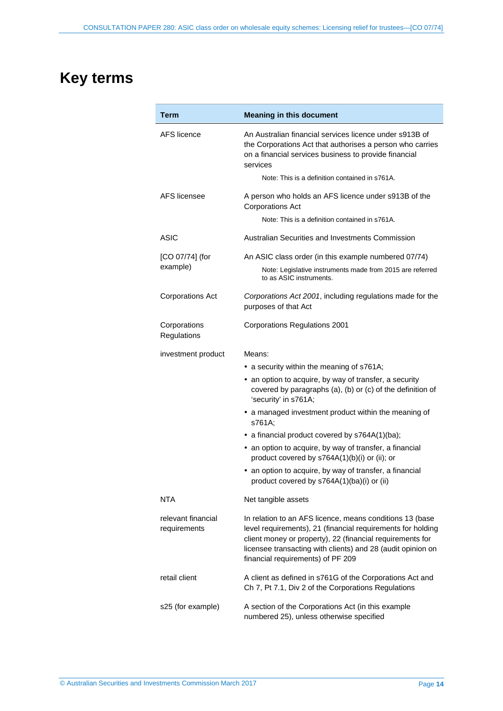# <span id="page-13-0"></span>**Key terms**

| Term                               | <b>Meaning in this document</b>                                                                                                                                                                                                                                                          |
|------------------------------------|------------------------------------------------------------------------------------------------------------------------------------------------------------------------------------------------------------------------------------------------------------------------------------------|
| AFS licence                        | An Australian financial services licence under s913B of<br>the Corporations Act that authorises a person who carries<br>on a financial services business to provide financial<br>services                                                                                                |
|                                    | Note: This is a definition contained in s761A.                                                                                                                                                                                                                                           |
| AFS licensee                       | A person who holds an AFS licence under s913B of the<br><b>Corporations Act</b>                                                                                                                                                                                                          |
|                                    | Note: This is a definition contained in s761A.                                                                                                                                                                                                                                           |
| ASIC                               | Australian Securities and Investments Commission                                                                                                                                                                                                                                         |
| [CO 07/74] (for                    | An ASIC class order (in this example numbered 07/74)                                                                                                                                                                                                                                     |
| example)                           | Note: Legislative instruments made from 2015 are referred<br>to as ASIC instruments.                                                                                                                                                                                                     |
| <b>Corporations Act</b>            | Corporations Act 2001, including regulations made for the<br>purposes of that Act                                                                                                                                                                                                        |
| Corporations<br>Regulations        | <b>Corporations Regulations 2001</b>                                                                                                                                                                                                                                                     |
| investment product                 | Means:                                                                                                                                                                                                                                                                                   |
|                                    | • a security within the meaning of s761A;                                                                                                                                                                                                                                                |
|                                    | • an option to acquire, by way of transfer, a security<br>covered by paragraphs (a), (b) or (c) of the definition of<br>'security' in s761A;                                                                                                                                             |
|                                    | • a managed investment product within the meaning of<br>s761A;                                                                                                                                                                                                                           |
|                                    | • a financial product covered by s764A(1)(ba);                                                                                                                                                                                                                                           |
|                                    | • an option to acquire, by way of transfer, a financial<br>product covered by s764A(1)(b)(i) or (ii); or                                                                                                                                                                                 |
|                                    | • an option to acquire, by way of transfer, a financial<br>product covered by s764A(1)(ba)(i) or (ii)                                                                                                                                                                                    |
| NTA                                | Net tangible assets                                                                                                                                                                                                                                                                      |
| relevant financial<br>requirements | In relation to an AFS licence, means conditions 13 (base<br>level requirements), 21 (financial requirements for holding<br>client money or property), 22 (financial requirements for<br>licensee transacting with clients) and 28 (audit opinion on<br>financial requirements) of PF 209 |
| retail client                      | A client as defined in s761G of the Corporations Act and<br>Ch 7, Pt 7.1, Div 2 of the Corporations Regulations                                                                                                                                                                          |
| s25 (for example)                  | A section of the Corporations Act (in this example<br>numbered 25), unless otherwise specified                                                                                                                                                                                           |